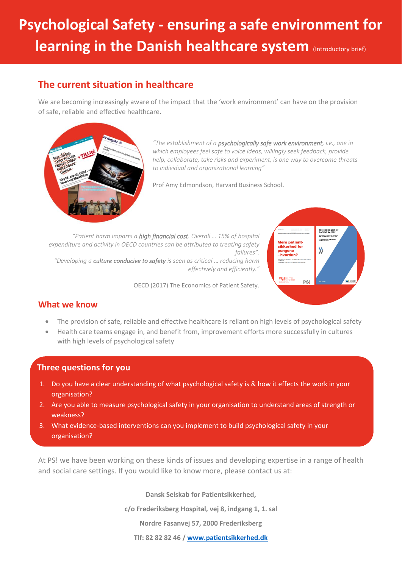# **Psychological Safety - ensuring a safe environment for learning in the Danish healthcare system** (Introductory brief)

# **The current situation in healthcare**

We are becoming increasingly aware of the impact that the 'work environment' can have on the provision of safe, reliable and effective healthcare.



*"The establishment of a psychologically safe work environment, i.e., one in which employees feel safe to voice ideas, willingly seek feedback, provide help, collaborate, take risks and experiment, is one way to overcome threats to individual and organizational learning"*

Prof Amy Edmondson, Harvard Business School.

*"Patient harm imparts a high financial cost. Overall … 15% of hospital expenditure and activity in OECD countries can be attributed to treating safety failures". "Developing a culture conducive to safety is seen as critical* … *reducing harm effectively and efficiently."* 

OECD (2017) The Economics of Patient Safety.



## **What we know**

- The provision of safe, reliable and effective healthcare is reliant on high levels of psychological safety
- Health care teams engage in, and benefit from, improvement efforts more successfully in cultures with high levels of psychological safety

#### **Three questions for you**

- 1. Do you have a clear understanding of what psychological safety is & how it effects the work in your organisation?
- 2. Are you able to measure psychological safety in your organisation to understand areas of strength or weakness?
- 3. What evidence-based interventions can you implement to build psychological safety in your organisation?

At PS! we have been working on these kinds of issues and developing expertise in a range of health and social care settings. If you would like to know more, please contact us at:

**Dansk Selskab for Patientsikkerhed,** 

**c/o Frederiksberg Hospital, vej 8, indgang 1, 1. sal**

**Nordre Fasanvej 57, 2000 Frederiksberg** 

**Tlf: 82 82 82 46 [/ www.patientsikkerhed.dk](http://www.patientsikkerhed.dk/)**